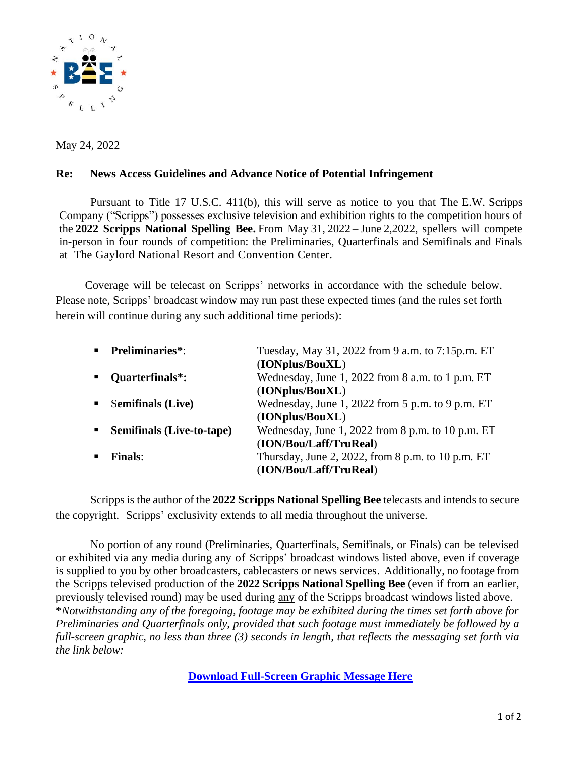

May 24, 2022

## **Re: News Access Guidelines and Advance Notice of Potential Infringement**

Pursuant to Title 17 U.S.C. 411(b), this will serve as notice to you that The E.W. Scripps Company ("Scripps") possesses exclusive television and exhibition rights to the competition hours of the **2022 Scripps National Spelling Bee.** From May 31, 2022 – June 2,2022, spellers will compete in-person in four rounds of competition: the Preliminaries, Quarterfinals and Semifinals and Finals at The Gaylord National Resort and Convention Center.

Coverage will be telecast on Scripps' networks in accordance with the schedule below. Please note, Scripps' broadcast window may run past these expected times (and the rules set forth herein will continue during any such additional time periods):

| <b>Preliminaries*:</b>                   | Tuesday, May 31, 2022 from 9 a.m. to 7:15p.m. ET  |
|------------------------------------------|---------------------------------------------------|
|                                          | (IONplus/BouXL)                                   |
| Quarterfinals*:                          | Wednesday, June 1, 2022 from 8 a.m. to 1 p.m. ET  |
|                                          | (IONplus/BouXL)                                   |
| <b>Semifinals</b> (Live)                 | Wednesday, June 1, 2022 from 5 p.m. to 9 p.m. ET  |
|                                          | (IONplus/BouXL)                                   |
| $\blacksquare$ Semifinals (Live-to-tape) | Wednesday, June 1, 2022 from 8 p.m. to 10 p.m. ET |
|                                          | (ION/Bou/Laff/TruReal)                            |
| <b>Finals:</b>                           | Thursday, June 2, 2022, from 8 p.m. to 10 p.m. ET |
|                                          | (ION/Bou/Laff/TruReal)                            |
|                                          |                                                   |

Scripps is the author of the **2022 Scripps National Spelling Bee** telecasts and intends to secure the copyright. Scripps' exclusivity extends to all media throughout the universe.

No portion of any round (Preliminaries, Quarterfinals, Semifinals, or Finals) can be televised or exhibited via any media during any of Scripps' broadcast windows listed above, even if coverage is supplied to you by other broadcasters, cablecasters or news services. Additionally, no footage from the Scripps televised production of the **2022 Scripps National Spelling Bee** (even if from an earlier, previously televised round) may be used during any of the Scripps broadcast windows listed above. \**Notwithstanding any of the foregoing, footage may be exhibited during the times set forth above for Preliminaries and Quarterfinals only, provided that such footage must immediately be followed by a full-screen graphic, no less than three (3) seconds in length, that reflects the messaging set forth via the link below:*

**[Download Full-Screen Graphic](https://drive.google.com/drive/folders/1J24d2pkikdhLGEYALq_yAwNPkvRplKlh) Message Here**